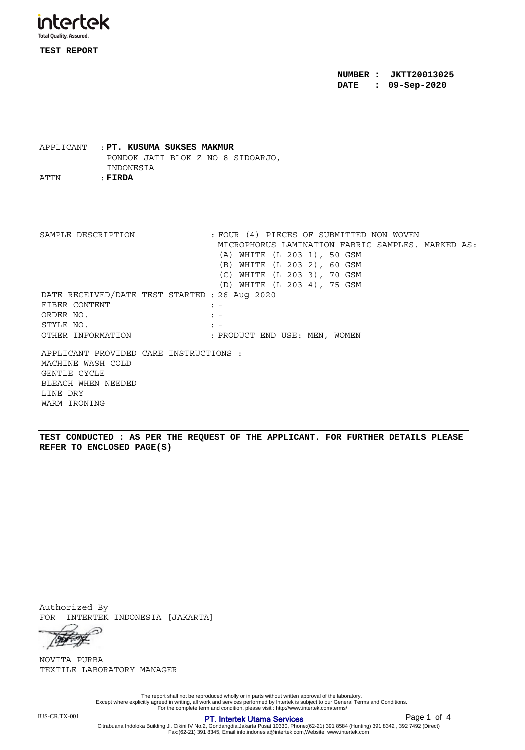

**TEST REPORT**

**NUMBER : JKTT20013025 DATE : 09-Sep-2020**

APPLICANT : **PT. KUSUMA SUKSES MAKMUR** PONDOK JATI BLOK Z NO 8 SIDOARJO, INDONESIA ATTN : **FIRDA**

APPLICANT PROVIDED CARE INSTRUCTIONS : MACHINE WASH COLD GENTLE CYCLE BLEACH WHEN NEEDED LINE DRY WARM IRONING DATE RECEIVED/DATE TEST STARTED : 26 Aug 2020 FIBER CONTENT : -ORDER NO.  $\qquad \qquad : -$ STYLE NO.  $\qquad \qquad : -$ OTHER INFORMATION : PRODUCT END USE: MEN, WOMEN SAMPLE DESCRIPTION : FOUR (4) PIECES OF SUBMITTED NON WOVEN MICROPHORUS LAMINATION FABRIC SAMPLES. MARKED AS: (A) WHITE (L 203 1), 50 GSM (B) WHITE (L 203 2), 60 GSM (C) WHITE (L 203 3), 70 GSM (D) WHITE (L 203 4), 75 GSM

**TEST CONDUCTED : AS PER THE REQUEST OF THE APPLICANT. FOR FURTHER DETAILS PLEASE REFER TO ENCLOSED PAGE(S)**

Authorized By FOR INTERTEK INDONESIA [JAKARTA]

⊝ Top of

TEXTILE LABORATORY MANAGER NOVITA PURBA

The report shall not be reproduced wholly or in parts without written approval of the laboratory.<br>Except where explicitly agreed in writing, all work and services performed by Intertek is subject to our General Terms and C

Page 1 of 4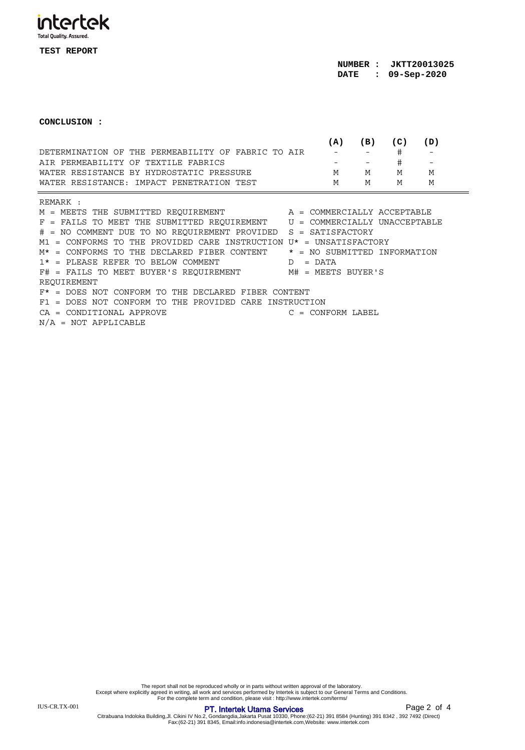intertek

**TEST REPORT**

**CONCLUSION :**

|                                                    | (A)    | (B) | (C) | (D) |  |
|----------------------------------------------------|--------|-----|-----|-----|--|
| DETERMINATION OF THE PERMEABILITY OF FABRIC TO AIR |        |     |     |     |  |
| AIR PERMEABILITY OF TEXTILE FABRICS                | $   -$ |     | #   |     |  |
| WATER RESISTANCE BY HYDROSTATIC PRESSURE           | M      | M   | м   | M   |  |
| WATER RESISTANCE: IMPACT PENETRATION TEST          | M      | M   | м   | M   |  |
|                                                    |        |     |     |     |  |

REMARK :

 $M = MEETS THE SUBMITTED REQUIREMENT$   $A = COMMERCIALLY ACCEPTABLE$ F = FAILS TO MEET THE SUBMITTED REQUIREMENT U = COMMERCIALLY UNACCEPTABLE # = NO COMMENT DUE TO NO REQUIREMENT PROVIDED S = SATISFACTORY  $M1$  = CONFORMS TO THE PROVIDED CARE INSTRUCTION  $U^*$  = UNSATISFACTORY  $M*$  = CONFORMS TO THE DECLARED FIBER CONTENT  $*$  = NO SUBMITTED INFORMATION  $1*$  = PLEASE REFER TO BELOW COMMENT  $D$  = DATA F# = FAILS TO MEET BUYER'S REQUIREMENT M# = MEETS BUYER'S REQUIREMENT F\* = DOES NOT CONFORM TO THE DECLARED FIBER CONTENT F1 = DOES NOT CONFORM TO THE PROVIDED CARE INSTRUCTION CA = CONDITIONAL APPROVE C = CONFORM LABEL  $N/A$  = NOT APPLICABLE

Citrabuana Indoloka Building,Jl. Cikini IV No.2, Gondangdia,Jakarta Pusat 10330, Phone:(62-21) 391 8584 (Hunting) 391 8342 , 392 7492 (Direct) Fax:(62-21) 391 8345, Email:info.indonesia@intertek.com,Website: www.intertek.com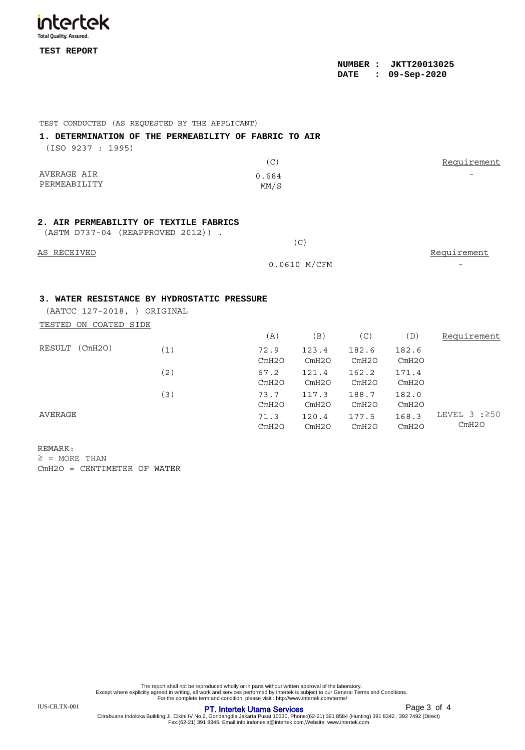

| KESULT (CMHZO) | (1) | 72.9<br>CmH2O | 123.4<br>CmH2O | 182.6<br>CmH2O | 182.6<br>CmH2O |                              |
|----------------|-----|---------------|----------------|----------------|----------------|------------------------------|
|                | (2) | 67.2<br>CmH2O | 121.4<br>CmH2O | 162.2<br>CmH2O | 171.4<br>CmH2O |                              |
|                | (3) | 73.7<br>CmH2O | 117.3<br>CmH2O | 188.7<br>CmH2O | 182.0<br>CmH2O |                              |
| AVERAGE        |     | 71.3<br>CmH2O | 120.4<br>CmH2O | 177.5<br>CmH2O | 168.3<br>CmH2O | LEVEL 3 : $\geq$ 50<br>CmH2O |

REMARK:  $\geq$  = MORE THAN CmH2O = CENTIMETER OF WATER

The report shall not be reproduced wholly or in parts without written approval of the laboratory.<br>Except where explicitly agreed in writing, all work and services performed by Intertek is subject to our General Terms and C

## **PT. Intertek Utama Services PT.** Intertek Utama Services

Page 3 of 4

-

Citrabuana Indoloka Building,Jl. Cikini IV No.2, Gondangdia,Jakarta Pusat 10330, Phone:(62-21) 391 8584 (Hunting) 391 8342 , 392 7492 (Direct) Fax:(62-21) 391 8345, Email:info.indonesia@intertek.com,Website: www.intertek.com